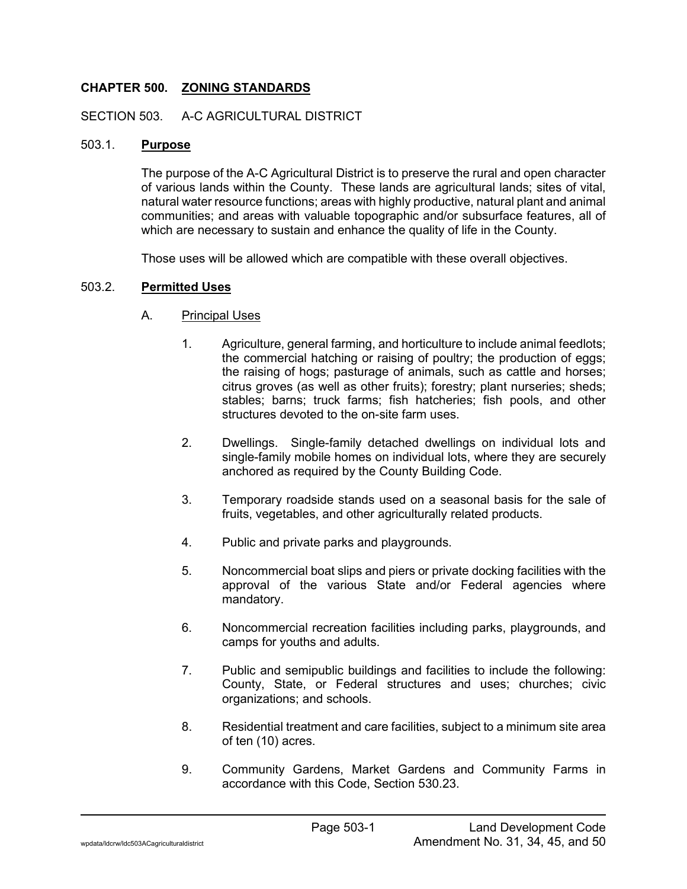## **CHAPTER 500. ZONING STANDARDS**

#### SECTION 503. A-C AGRICULTURAL DISTRICT

#### 503.1. **Purpose**

The purpose of the A-C Agricultural District is to preserve the rural and open character of various lands within the County. These lands are agricultural lands; sites of vital, natural water resource functions; areas with highly productive, natural plant and animal communities; and areas with valuable topographic and/or subsurface features, all of which are necessary to sustain and enhance the quality of life in the County.

Those uses will be allowed which are compatible with these overall objectives.

## 503.2. **Permitted Uses**

- A. Principal Uses
	- 1. Agriculture, general farming, and horticulture to include animal feedlots; the commercial hatching or raising of poultry; the production of eggs; the raising of hogs; pasturage of animals, such as cattle and horses; citrus groves (as well as other fruits); forestry; plant nurseries; sheds; stables; barns; truck farms; fish hatcheries; fish pools, and other structures devoted to the on-site farm uses.
	- 2. Dwellings. Single-family detached dwellings on individual lots and single-family mobile homes on individual lots, where they are securely anchored as required by the County Building Code.
	- 3. Temporary roadside stands used on a seasonal basis for the sale of fruits, vegetables, and other agriculturally related products.
	- 4. Public and private parks and playgrounds.
	- 5. Noncommercial boat slips and piers or private docking facilities with the approval of the various State and/or Federal agencies where mandatory.
	- 6. Noncommercial recreation facilities including parks, playgrounds, and camps for youths and adults.
	- 7. Public and semipublic buildings and facilities to include the following: County, State, or Federal structures and uses; churches; civic organizations; and schools.
	- 8. Residential treatment and care facilities, subject to a minimum site area of ten (10) acres.
	- 9. Community Gardens, Market Gardens and Community Farms in accordance with this Code, Section 530.23.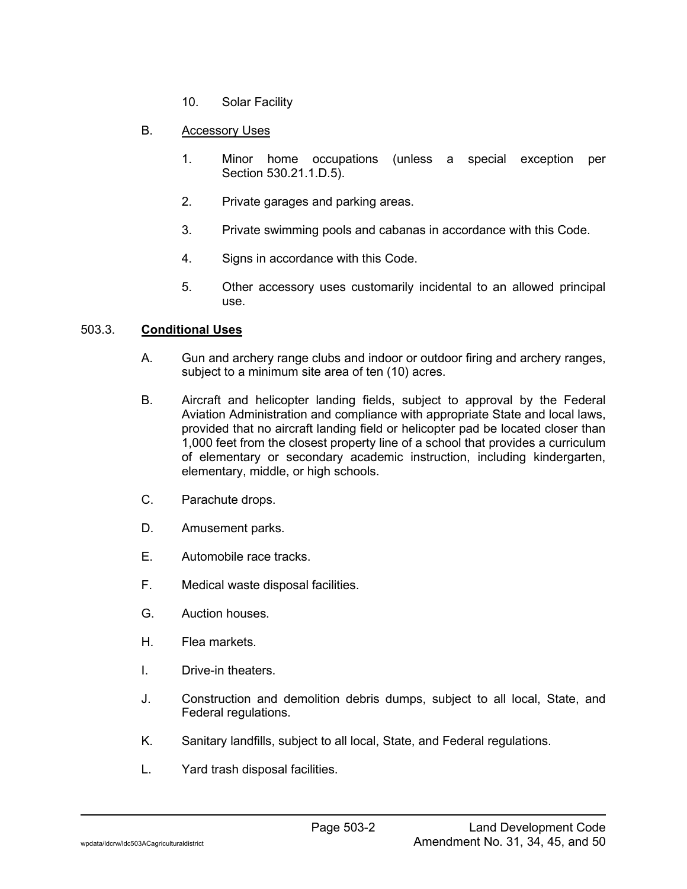10. Solar Facility

#### B. Accessory Uses

- 1. Minor home occupations (unless a special exception per Section 530.21.1.D.5).
- 2. Private garages and parking areas.
- 3. Private swimming pools and cabanas in accordance with this Code.
- 4. Signs in accordance with this Code.
- 5. Other accessory uses customarily incidental to an allowed principal use.

# 503.3. **Conditional Uses**

- A. Gun and archery range clubs and indoor or outdoor firing and archery ranges, subject to a minimum site area of ten (10) acres.
- B. Aircraft and helicopter landing fields, subject to approval by the Federal Aviation Administration and compliance with appropriate State and local laws, provided that no aircraft landing field or helicopter pad be located closer than 1,000 feet from the closest property line of a school that provides a curriculum of elementary or secondary academic instruction, including kindergarten, elementary, middle, or high schools.
- C. Parachute drops.
- D. Amusement parks.
- E. Automobile race tracks.
- F. Medical waste disposal facilities.
- G. Auction houses.
- H. Flea markets.
- I. Drive-in theaters.
- J. Construction and demolition debris dumps, subject to all local, State, and Federal regulations.
- K. Sanitary landfills, subject to all local, State, and Federal regulations.
- L. Yard trash disposal facilities.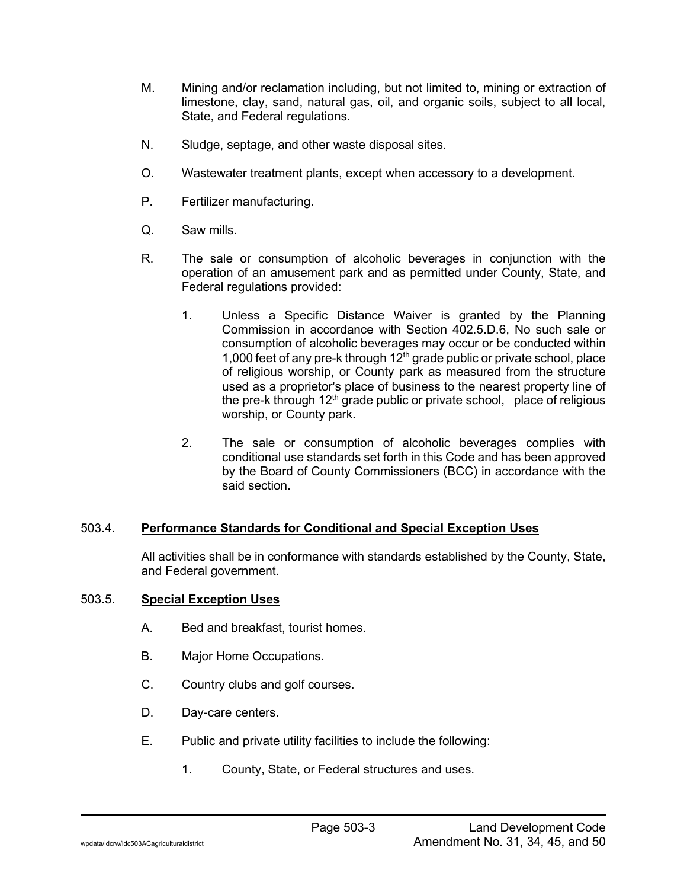- M. Mining and/or reclamation including, but not limited to, mining or extraction of limestone, clay, sand, natural gas, oil, and organic soils, subject to all local, State, and Federal regulations.
- N. Sludge, septage, and other waste disposal sites.
- O. Wastewater treatment plants, except when accessory to a development.
- P. Fertilizer manufacturing.
- Q. Saw mills.
- R. The sale or consumption of alcoholic beverages in conjunction with the operation of an amusement park and as permitted under County, State, and Federal regulations provided:
	- 1. Unless a Specific Distance Waiver is granted by the Planning Commission in accordance with Section 402.5.D.6, No such sale or consumption of alcoholic beverages may occur or be conducted within 1,000 feet of any pre-k through  $12<sup>th</sup>$  grade public or private school, place of religious worship, or County park as measured from the structure used as a proprietor's place of business to the nearest property line of the pre-k through  $12<sup>th</sup>$  grade public or private school, place of religious worship, or County park.
	- 2. The sale or consumption of alcoholic beverages complies with conditional use standards set forth in this Code and has been approved by the Board of County Commissioners (BCC) in accordance with the said section.

## 503.4. **Performance Standards for Conditional and Special Exception Uses**

All activities shall be in conformance with standards established by the County, State, and Federal government.

## 503.5. **Special Exception Uses**

- A. Bed and breakfast, tourist homes.
- B. Major Home Occupations.
- C. Country clubs and golf courses.
- D. Day-care centers.
- E. Public and private utility facilities to include the following:
	- 1. County, State, or Federal structures and uses.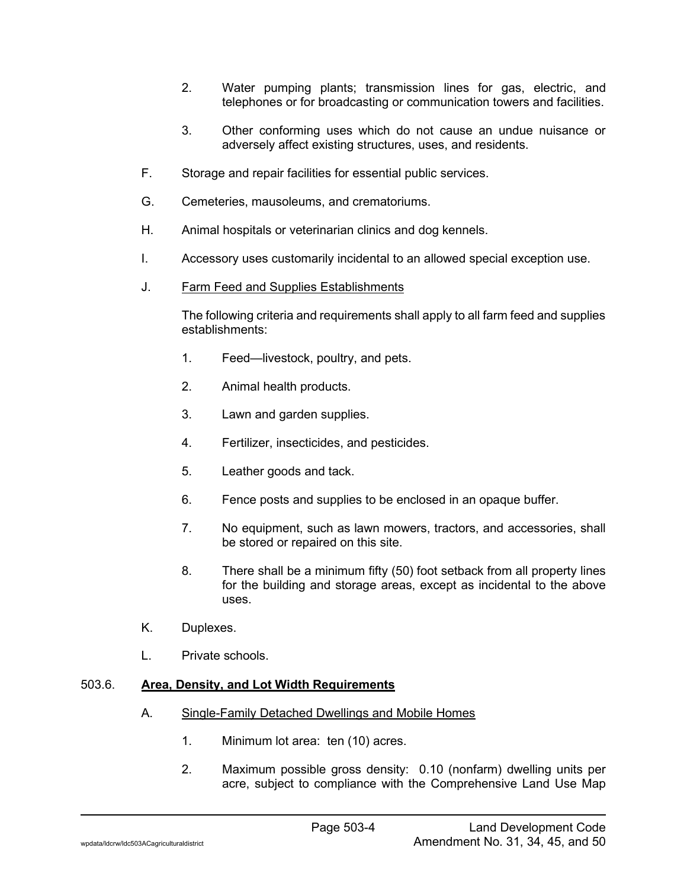- 2. Water pumping plants; transmission lines for gas, electric, and telephones or for broadcasting or communication towers and facilities.
- 3. Other conforming uses which do not cause an undue nuisance or adversely affect existing structures, uses, and residents.
- F. Storage and repair facilities for essential public services.
- G. Cemeteries, mausoleums, and crematoriums.
- H. Animal hospitals or veterinarian clinics and dog kennels.
- I. Accessory uses customarily incidental to an allowed special exception use.
- J. Farm Feed and Supplies Establishments

The following criteria and requirements shall apply to all farm feed and supplies establishments:

- 1. Feed—livestock, poultry, and pets.
- 2. Animal health products.
- 3. Lawn and garden supplies.
- 4. Fertilizer, insecticides, and pesticides.
- 5. Leather goods and tack.
- 6. Fence posts and supplies to be enclosed in an opaque buffer.
- 7. No equipment, such as lawn mowers, tractors, and accessories, shall be stored or repaired on this site.
- 8. There shall be a minimum fifty (50) foot setback from all property lines for the building and storage areas, except as incidental to the above uses.
- K. Duplexes.
- L. Private schools.

## 503.6. **Area, Density, and Lot Width Requirements**

- A. Single-Family Detached Dwellings and Mobile Homes
	- 1. Minimum lot area: ten (10) acres.
	- 2. Maximum possible gross density: 0.10 (nonfarm) dwelling units per acre, subject to compliance with the Comprehensive Land Use Map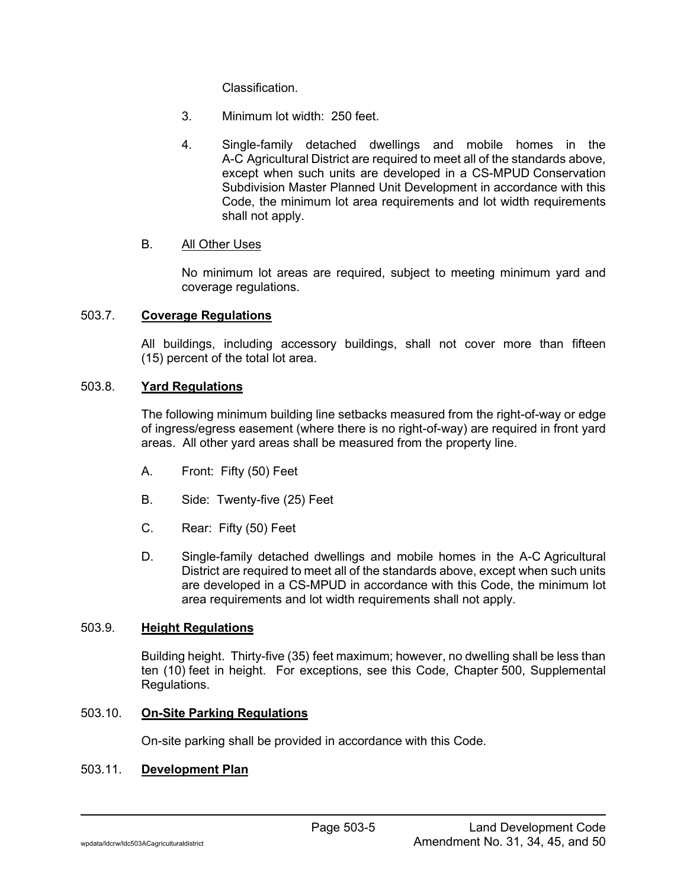Classification.

- 3. Minimum lot width: 250 feet.
- 4. Single-family detached dwellings and mobile homes in the A-C Agricultural District are required to meet all of the standards above, except when such units are developed in a CS-MPUD Conservation Subdivision Master Planned Unit Development in accordance with this Code, the minimum lot area requirements and lot width requirements shall not apply.

#### B. All Other Uses

No minimum lot areas are required, subject to meeting minimum yard and coverage regulations.

## 503.7. **Coverage Regulations**

All buildings, including accessory buildings, shall not cover more than fifteen (15) percent of the total lot area.

#### 503.8. **Yard Regulations**

The following minimum building line setbacks measured from the right-of-way or edge of ingress/egress easement (where there is no right-of-way) are required in front yard areas. All other yard areas shall be measured from the property line.

- A. Front: Fifty (50) Feet
- B. Side: Twenty-five (25) Feet
- C. Rear: Fifty (50) Feet
- D. Single-family detached dwellings and mobile homes in the A-C Agricultural District are required to meet all of the standards above, except when such units are developed in a CS-MPUD in accordance with this Code, the minimum lot area requirements and lot width requirements shall not apply.

#### 503.9. **Height Regulations**

Building height. Thirty-five (35) feet maximum; however, no dwelling shall be less than ten (10) feet in height. For exceptions, see this Code, Chapter 500, Supplemental Regulations.

## 503.10. **On-Site Parking Regulations**

On-site parking shall be provided in accordance with this Code.

## 503.11. **Development Plan**